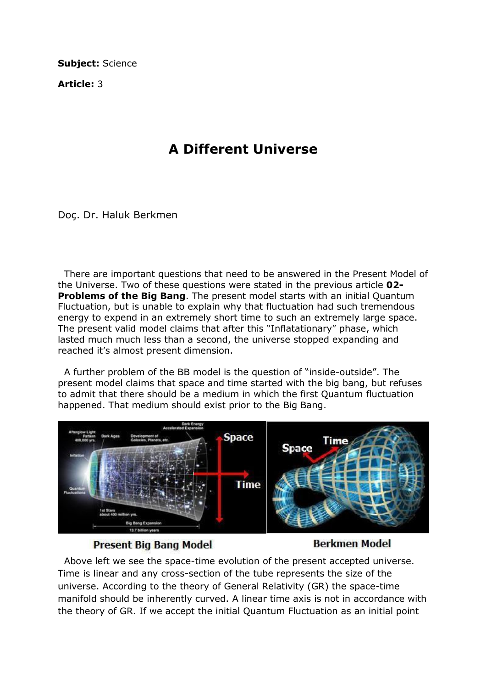Subject: Science

Article: 3

## A Different Universe

Doç. Dr. Haluk Berkmen

 There are important questions that need to be answered in the Present Model of the Universe. Two of these questions were stated in the previous article 02- **Problems of the Big Bang.** The present model starts with an initial Quantum Fluctuation, but is unable to explain why that fluctuation had such tremendous energy to expend in an extremely short time to such an extremely large space. The present valid model claims that after this "Inflatationary" phase, which lasted much much less than a second, the universe stopped expanding and reached it's almost present dimension.

 A further problem of the BB model is the question of "inside-outside". The present model claims that space and time started with the big bang, but refuses to admit that there should be a medium in which the first Quantum fluctuation happened. That medium should exist prior to the Big Bang.



## **Present Big Bang Model**

## **Berkmen Model**

 Above left we see the space-time evolution of the present accepted universe. Time is linear and any cross-section of the tube represents the size of the universe. According to the theory of General Relativity (GR) the space-time manifold should be inherently curved. A linear time axis is not in accordance with the theory of GR. If we accept the initial Quantum Fluctuation as an initial point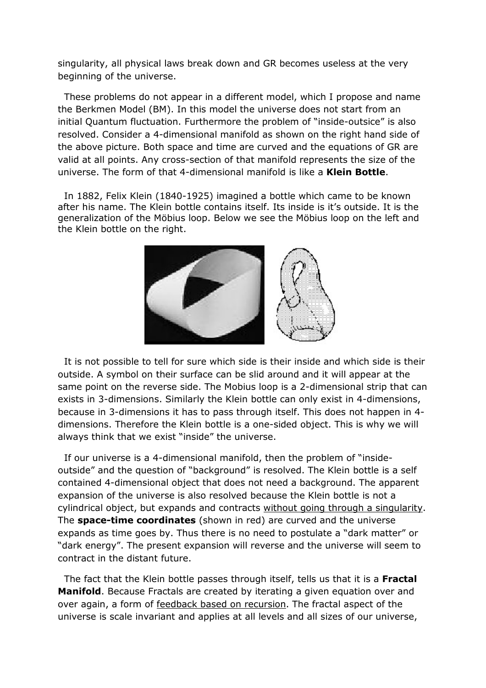singularity, all physical laws break down and GR becomes useless at the very beginning of the universe.

 These problems do not appear in a different model, which I propose and name the Berkmen Model (BM). In this model the universe does not start from an initial Quantum fluctuation. Furthermore the problem of "inside-outsice" is also resolved. Consider a 4-dimensional manifold as shown on the right hand side of the above picture. Both space and time are curved and the equations of GR are valid at all points. Any cross-section of that manifold represents the size of the universe. The form of that 4-dimensional manifold is like a **Klein Bottle**.

 In 1882, Felix Klein (1840-1925) imagined a bottle which came to be known after his name. The Klein bottle contains itself. Its inside is it's outside. It is the generalization of the Möbius loop. Below we see the Möbius loop on the left and the Klein bottle on the right.



 It is not possible to tell for sure which side is their inside and which side is their outside. A symbol on their surface can be slid around and it will appear at the same point on the reverse side. The Mobius loop is a 2-dimensional strip that can exists in 3-dimensions. Similarly the Klein bottle can only exist in 4-dimensions, because in 3-dimensions it has to pass through itself. This does not happen in 4 dimensions. Therefore the Klein bottle is a one-sided object. This is why we will always think that we exist "inside" the universe.

 If our universe is a 4-dimensional manifold, then the problem of "insideoutside" and the question of "background" is resolved. The Klein bottle is a self contained 4-dimensional object that does not need a background. The apparent expansion of the universe is also resolved because the Klein bottle is not a cylindrical object, but expands and contracts without going through a singularity. The **space-time coordinates** (shown in red) are curved and the universe expands as time goes by. Thus there is no need to postulate a "dark matter" or "dark energy". The present expansion will reverse and the universe will seem to contract in the distant future.

The fact that the Klein bottle passes through itself, tells us that it is a Fractal Manifold. Because Fractals are created by iterating a given equation over and over again, a form of feedback based on recursion. The fractal aspect of the universe is scale invariant and applies at all levels and all sizes of our universe,